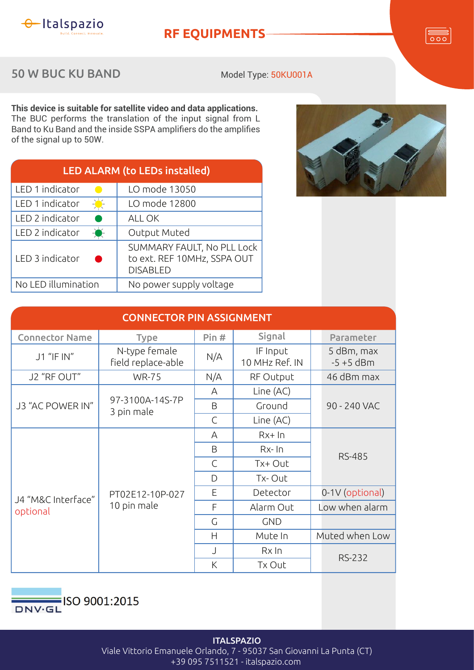

**RF EQUIPMENTS**

 $\overline{\circ\circ}$ 

50 W BUC KU BAND

Model Type: 50KU001A

**This device is suitable for satellite video and data applications.** The BUC performs the translation of the input signal from L Band to Ku Band and the inside SSPA amplifiers do the amplifies of the signal up to 50W.

| <b>LED ALARM (to LEDs installed)</b> |                                                                              |  |  |  |
|--------------------------------------|------------------------------------------------------------------------------|--|--|--|
| LED 1 indicator                      | LO mode 13050                                                                |  |  |  |
| LED 1 indicator                      | LO mode 12800                                                                |  |  |  |
| LED 2 indicator                      | ALL OK                                                                       |  |  |  |
| LED 2 indicator<br>$-\bullet$        | Output Muted                                                                 |  |  |  |
| LED 3 indicator                      | SUMMARY FAULT, No PLL Lock<br>to ext. REF 10MHz, SSPA OUT<br><b>DISABLED</b> |  |  |  |
| No LED illumination                  | No power supply voltage                                                      |  |  |  |



| <b>CONNECTOR PIN ASSIGNMENT</b> |                                     |              |                            |                            |  |  |  |
|---------------------------------|-------------------------------------|--------------|----------------------------|----------------------------|--|--|--|
| <b>Connector Name</b>           | <b>Type</b>                         | Pin#         | Signal                     | Parameter                  |  |  |  |
| J1 "IF IN"                      | N-type female<br>field replace-able | N/A          | IF Input<br>10 MHz Ref. IN | 5 dBm, max<br>$-5 + 5$ dBm |  |  |  |
| J2 "RF OUT"                     | <b>WR-75</b>                        | N/A          | RF Output                  | 46 dBm max                 |  |  |  |
| J3 "AC POWER IN"                | 97-3100A-14S-7P<br>3 pin male       | A            | Line (AC)                  | 90 - 240 VAC               |  |  |  |
|                                 |                                     | B            | Ground                     |                            |  |  |  |
|                                 |                                     | $\mathsf{C}$ | Line (AC)                  |                            |  |  |  |
| J4 "M&C Interface"<br>optional  | PT02E12-10P-027<br>10 pin male      | A            | $Rx+In$                    | <b>RS-485</b>              |  |  |  |
|                                 |                                     | B            | $Rx$ - $\ln$               |                            |  |  |  |
|                                 |                                     | $\mathsf{C}$ | Tx+ Out                    |                            |  |  |  |
|                                 |                                     | D            | Tx-Out                     |                            |  |  |  |
|                                 |                                     | E            | Detector                   | 0-1V (optional)            |  |  |  |
|                                 |                                     | F            | Alarm Out                  | Low when alarm             |  |  |  |
|                                 |                                     | G            | <b>GND</b>                 |                            |  |  |  |
|                                 |                                     | H            | Mute In                    | Muted when Low             |  |  |  |
|                                 |                                     | J            | $Rx$ In                    | <b>RS-232</b>              |  |  |  |
|                                 |                                     | K            | Tx Out                     |                            |  |  |  |



**ITALSPAZIO** Viale Vittorio Emanuele Orlando, 7 - 95037 San Giovanni La Punta (CT) +39 095 7511521 - italspazio.com